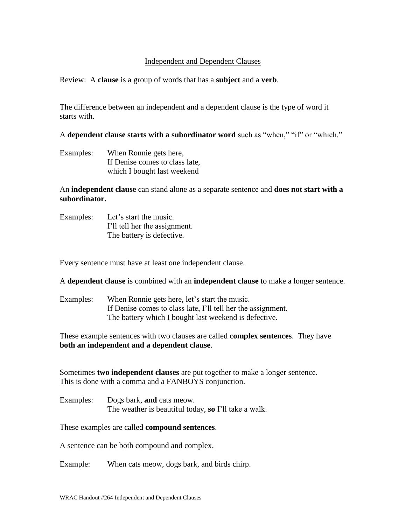## Independent and Dependent Clauses

Review: A **clause** is a group of words that has a **subject** and a **verb**.

The difference between an independent and a dependent clause is the type of word it starts with.

A **dependent clause starts with a subordinator word** such as "when," "if" or "which."

Examples: When Ronnie gets here, If Denise comes to class late, which I bought last weekend

An **independent clause** can stand alone as a separate sentence and **does not start with a subordinator.** 

Examples: Let's start the music. I'll tell her the assignment. The battery is defective.

Every sentence must have at least one independent clause.

A **dependent clause** is combined with an **independent clause** to make a longer sentence.

Examples: When Ronnie gets here, let's start the music. If Denise comes to class late, I'll tell her the assignment. The battery which I bought last weekend is defective.

These example sentences with two clauses are called **complex sentences**. They have **both an independent and a dependent clause**.

Sometimes **two independent clauses** are put together to make a longer sentence. This is done with a comma and a FANBOYS conjunction.

Examples: Dogs bark, **and** cats meow. The weather is beautiful today, **so** I'll take a walk.

These examples are called **compound sentences**.

A sentence can be both compound and complex.

Example: When cats meow, dogs bark, and birds chirp.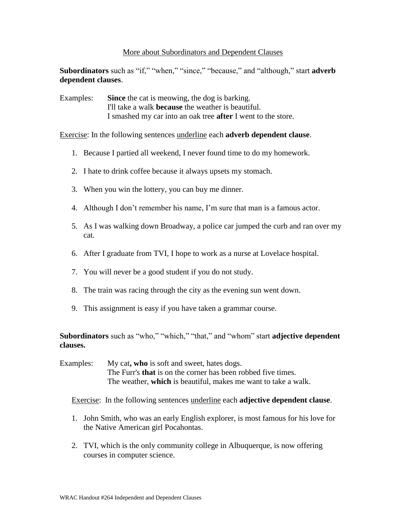## More about Subordinators and Dependent Clauses

**Subordinators** such as "if," "when," "since," "because," and "although," start **adverb dependent clauses**.

Examples: **Since** the cat is meowing, the dog is barking. I'll take a walk **because** the weather is beautiful. I smashed my car into an oak tree **after** I went to the store.

Exercise: In the following sentences underline each **adverb dependent clause**.

- 1. Because I partied all weekend, I never found time to do my homework.
- 2. I hate to drink coffee because it always upsets my stomach.
- 3. When you win the lottery, you can buy me dinner.
- 4. Although I don't remember his name, I'm sure that man is a famous actor.
- 5. As I was walking down Broadway, a police car jumped the curb and ran over my cat.
- 6. After I graduate from TVI, I hope to work as a nurse at Lovelace hospital.
- 7. You will never be a good student if you do not study.
- 8. The train was racing through the city as the evening sun went down.
- 9. This assignment is easy if you have taken a grammar course.

**Subordinators** such as "who," "which," "that," and "whom" start **adjective dependent clauses.**

Examples: My cat, who is soft and sweet, hates dogs. The Furr's **that** is on the corner has been robbed five times. The weather, **which** is beautiful, makes me want to take a walk.

Exercise: In the following sentences underline each **adjective dependent clause**.

- 1. John Smith, who was an early English explorer, is most famous for his love for the Native American girl Pocahontas.
- 2. TVI, which is the only community college in Albuquerque, is now offering courses in computer science.